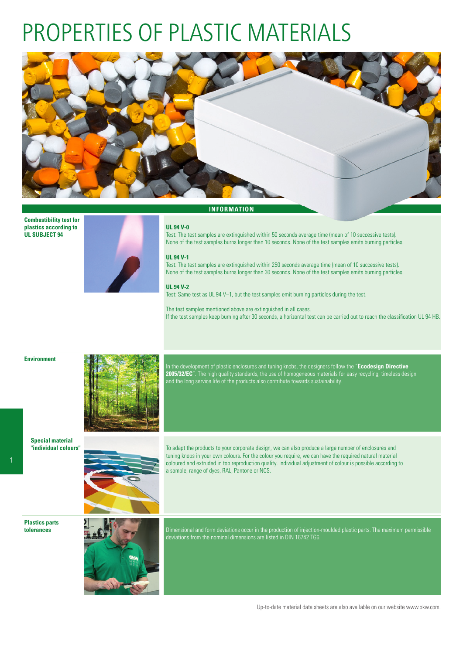# PROPERTIES OF PLASTIC MATERIALS



**Combustibility test for plastics according to UL SUBJECT 94**



### **INFORMATION**

### **UL 94 V-0**

Test: The test samples are extinguished within 50 seconds average time (mean of 10 successive tests). None of the test samples burns longer than 10 seconds. None of the test samples emits burning particles.

#### **UL 94 V-1**

Test: The test samples are extinguished within 250 seconds average time (mean of 10 successive tests). None of the test samples burns longer than 30 seconds. None of the test samples emits burning particles.

#### **UL 94 V-2**

Test: Same test as UL 94 V–1, but the test samples emit burning particles during the test.

The test samples mentioned above are extinguished in all cases. If the test samples keep burning after 30 seconds, a horizontal test can be carried out to reach the classification UL 94 HB.





In the development of plastic enclosures and tuning knobs, the designers follow the "**Ecodesign Directive 2005/32/EC**". The high quality standards, the use of homogeneous materials for easy recycling, timeless design and the long service life of the products also contribute towards sustainability.

**Special material "individual colours"**



To adapt the products to your corporate design, we can also produce a large number of enclosures and tuning knobs in your own colours. For the colour you require, we can have the required natural material coloured and extruded in top reproduction quality. Individual adjustment of colour is possible according to a sample, range of dyes, RAL, Pantone or NCS.

**Plastics parts**



**tolerances Dimensional and form deviations occur in the production of injection-moulded plastic parts. The maximum permissible**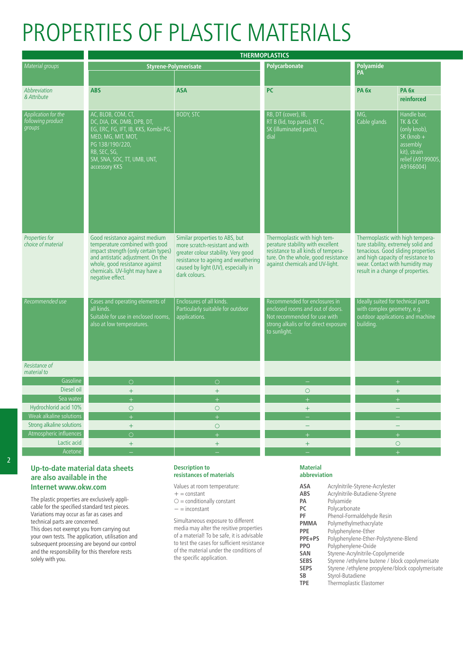# PROPERTIES OF PLASTIC MATERIALS

|                                                    | <b>THERMOPLASTICS</b>                                                                                                                                                                                                                 |                                                                                                                                                                                                         |                                                                                                                                                                                    |                                                                                                            |                                                                                                                     |
|----------------------------------------------------|---------------------------------------------------------------------------------------------------------------------------------------------------------------------------------------------------------------------------------------|---------------------------------------------------------------------------------------------------------------------------------------------------------------------------------------------------------|------------------------------------------------------------------------------------------------------------------------------------------------------------------------------------|------------------------------------------------------------------------------------------------------------|---------------------------------------------------------------------------------------------------------------------|
| Material groups                                    |                                                                                                                                                                                                                                       | Styrene-Polymerisate                                                                                                                                                                                    | Polycarbonate                                                                                                                                                                      | Polyamide                                                                                                  |                                                                                                                     |
|                                                    |                                                                                                                                                                                                                                       |                                                                                                                                                                                                         |                                                                                                                                                                                    | <b>PA</b>                                                                                                  |                                                                                                                     |
| Abbreviation<br>& Attribute                        | <b>ABS</b>                                                                                                                                                                                                                            | <b>ASA</b>                                                                                                                                                                                              | <b>PC</b>                                                                                                                                                                          | PA <sub>6x</sub>                                                                                           | PA <sub>6x</sub><br>reinforced                                                                                      |
| Application for the<br>following product<br>groups | AC, BLOB, COM, CT,<br>DC, DIA, DK, DMB, DPB, DT,<br>EG, ERC, FG, IFT, IB, KKS, Kombi-PG,<br>MED, MG, MIT, MOT,<br>PG 138/190/220,<br>RB, SEC, SG,<br>SM, SNA, SOC, TT, UMB, UNT,<br>accessory KKS                                     | <b>BODY, STC</b>                                                                                                                                                                                        | RB, DT (cover), IB,<br>RT B (lid, top parts), RT C,<br>SK (illuminated parts),<br>dial                                                                                             | Cable glands                                                                                               | Handle bar,<br>TK & CK<br>(only knob),<br>$SK (knob +$<br>assembly<br>kit), strain<br>relief (A919900)<br>A9166004) |
| Properties for<br>choice of material               | Good resistance against medium<br>temperature combined with good<br>impact strength (only certain types)<br>and antistatic adjustment. On the<br>whole, good resistance against<br>chemicals. UV-light may have a<br>negative effect. | Similar properties to ABS, but<br>more scratch-resistant and with<br>greater colour stability. Very good<br>resistance to ageing and weathering<br>caused by light (UV), especially in<br>dark colours. | Thermoplastic with high tem-<br>perature stability with excellent<br>resistance to all kinds of tempera-<br>ture. On the whole, good resistance<br>against chemicals and UV-light. | and high capacity of resistance to<br>wear. Contact with humidity may<br>result in a change of properties. | Thermoplastic with high tempera-<br>ture stability, extremely solid and<br>tenacious. Good sliding properties       |
| Recommended use                                    | Cases and operating elements of<br>all kinds.<br>Suitable for use in enclosed rooms,<br>also at low temperatures.                                                                                                                     | Enclosures of all kinds.<br>Particularly suitable for outdoor<br>applications.                                                                                                                          | Recommended for enclosures in<br>enclosed rooms and out of doors.<br>Not recommended for use with<br>strong alkalis or for direct exposure<br>to sunlight.                         | deally suited for technical parts<br>with complex geometry, e.g.<br>puilding.                              | outdoor applications and machine                                                                                    |
| Resistance of<br>material to                       |                                                                                                                                                                                                                                       |                                                                                                                                                                                                         |                                                                                                                                                                                    |                                                                                                            |                                                                                                                     |
| Gasolin                                            | $\circ$                                                                                                                                                                                                                               | $\circ$                                                                                                                                                                                                 |                                                                                                                                                                                    |                                                                                                            | $+$                                                                                                                 |
| Diesel oil                                         | $+$                                                                                                                                                                                                                                   | $+$                                                                                                                                                                                                     | $\circ$                                                                                                                                                                            |                                                                                                            | $+$                                                                                                                 |
| Sea wate                                           | $\pm$                                                                                                                                                                                                                                 | $+$                                                                                                                                                                                                     | $+$                                                                                                                                                                                |                                                                                                            | $+$                                                                                                                 |
| Hydrochlorid acid 10%                              | $\circ$                                                                                                                                                                                                                               | $\circ$                                                                                                                                                                                                 | $+$                                                                                                                                                                                |                                                                                                            | $\overline{\phantom{a}}$                                                                                            |
| Weak alkaline solutions                            | $+$                                                                                                                                                                                                                                   | $+$                                                                                                                                                                                                     | $\equiv$                                                                                                                                                                           |                                                                                                            | $\overline{\phantom{a}}$                                                                                            |
| Strong alkaline solutions                          | $+$                                                                                                                                                                                                                                   | $\circ$                                                                                                                                                                                                 | $\equiv$                                                                                                                                                                           |                                                                                                            | $\equiv$                                                                                                            |
| Atmospheric influences                             | $\Omega$                                                                                                                                                                                                                              | $+$                                                                                                                                                                                                     | $\pm$                                                                                                                                                                              |                                                                                                            | $+$                                                                                                                 |
| Lactic acid<br>Acetone                             | $+$<br>$\equiv$                                                                                                                                                                                                                       | $+$                                                                                                                                                                                                     | $+$                                                                                                                                                                                |                                                                                                            | $\circ$<br>$+$                                                                                                      |
|                                                    |                                                                                                                                                                                                                                       | $\equiv$                                                                                                                                                                                                | $\equiv$                                                                                                                                                                           |                                                                                                            |                                                                                                                     |

# **Up-to-date material data sheets are also available in the Internet www.okw.com**

The plastic properties are exclusively applicable for the specified standard test pieces. Variations may occur as far as cases and technical parts are concerned. This does not exempt you from carrying out your own tests. The application, utilisation and subsequent processing are beyond our control and the responsibility for this therefore rests solely with you.

## **Description to resistances of materials**

Values at room temperature:

- $+$  = constant
- $O =$  conditionally constant
- − = inconstant

Simultaneous exposure to different media may alter the resitive properties of a material! To be safe, it is advisable to test the cases for sufficient resistance of the material under the conditions of the specific application.

## **Material abbreviation**

| Acrylnitrile-Styrene-Acrylester                  |
|--------------------------------------------------|
| Acrylnitrile-Butadiene-Styrene                   |
| Polyamide                                        |
| Polycarbonate                                    |
| Phenol-Formaldehyde Resin                        |
| Polymethylmethacrylate                           |
| Polyphenylene-Ether                              |
| Polyphenylene-Ether-Polystyrene-Blend            |
| Polyphenylene-Oxide                              |
| Styrene-Acrylnitrile-Copolymeride                |
| Styrene /ethylene butene / block copolymerisate  |
| Styrene /ethylene propylene/block copolymerisate |
| Styrol-Butadiene                                 |
| Thermoplastic Elastomer                          |
|                                                  |